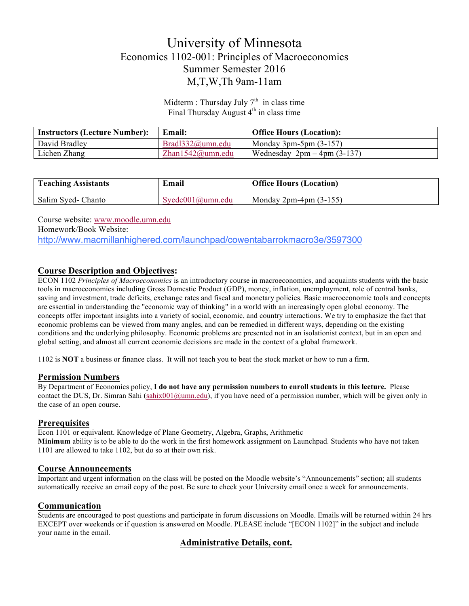# University of Minnesota Economics 1102-001: Principles of Macroeconomics Summer Semester 2016 M,T,W,Th 9am-11am

Midterm : Thursday July  $7<sup>th</sup>$  in class time Final Thursday August  $4<sup>th</sup>$  in class time

| <b>Instructors (Lecture Number):</b> | Email:               | <b>Office Hours (Location):</b> |
|--------------------------------------|----------------------|---------------------------------|
| David Bradley                        | $Brad1332$ @umn.edu  | Monday 3pm-5pm $(3-157)$        |
| Lichen Zhang                         | Zhan $1542@$ umn.edu | Wednesday $2pm-4pm (3-137)$     |

| <b>Teaching Assistants</b> | Email               | <b>Office Hours (Location)</b> |
|----------------------------|---------------------|--------------------------------|
| Salim Syed- Chanto         | $Svedc001@$ umn.edu | Monday $2pm-4pm(3-155)$        |

Course website: www.moodle.umn.edu Homework/Book Website: http://www.macmillanhighered.com/launchpad/cowentabarrokmacro3e/3597300

# **Course Description and Objectives:**

ECON 1102 *Principles of Macroeconomics* is an introductory course in macroeconomics, and acquaints students with the basic tools in macroeconomics including Gross Domestic Product (GDP), money, inflation, unemployment, role of central banks, saving and investment, trade deficits, exchange rates and fiscal and monetary policies. Basic macroeconomic tools and concepts are essential in understanding the "economic way of thinking" in a world with an increasingly open global economy. The concepts offer important insights into a variety of social, economic, and country interactions. We try to emphasize the fact that economic problems can be viewed from many angles, and can be remedied in different ways, depending on the existing conditions and the underlying philosophy. Economic problems are presented not in an isolationist context, but in an open and global setting, and almost all current economic decisions are made in the context of a global framework.

1102 is **NOT** a business or finance class. It will not teach you to beat the stock market or how to run a firm.

### **Permission Numbers**

By Department of Economics policy, **I do not have any permission numbers to enroll students in this lecture.** Please contact the DUS, Dr. Simran Sahi (sahix001@umn.edu), if you have need of a permission number, which will be given only in the case of an open course.

### **Prerequisites**

Econ 1101 or equivalent. Knowledge of Plane Geometry, Algebra, Graphs, Arithmetic **Minimum** ability is to be able to do the work in the first homework assignment on Launchpad. Students who have not taken 1101 are allowed to take 1102, but do so at their own risk.

### **Course Announcements**

Important and urgent information on the class will be posted on the Moodle website's "Announcements" section; all students automatically receive an email copy of the post. Be sure to check your University email once a week for announcements.

### **Communication**

Students are encouraged to post questions and participate in forum discussions on Moodle. Emails will be returned within 24 hrs EXCEPT over weekends or if question is answered on Moodle. PLEASE include "[ECON 1102]" in the subject and include your name in the email.

### **Administrative Details, cont.**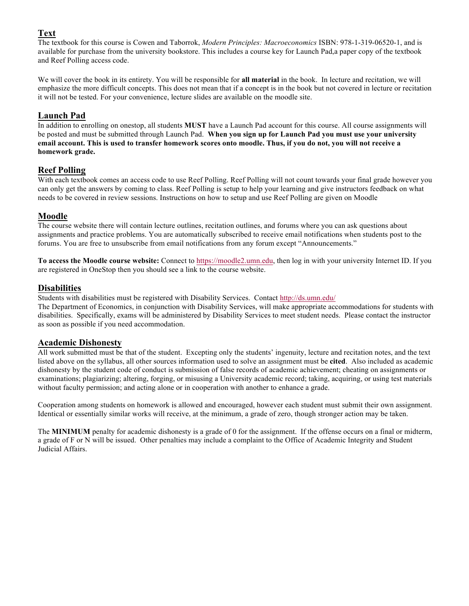# **Text**

The textbook for this course is Cowen and Taborrok, *Modern Principles: Macroeconomics* ISBN: 978-1-319-06520-1, and is available for purchase from the university bookstore. This includes a course key for Launch Pad,a paper copy of the textbook and Reef Polling access code.

We will cover the book in its entirety. You will be responsible for **all material** in the book. In lecture and recitation, we will emphasize the more difficult concepts. This does not mean that if a concept is in the book but not covered in lecture or recitation it will not be tested. For your convenience, lecture slides are available on the moodle site.

# **Launch Pad**

In addition to enrolling on onestop, all students **MUST** have a Launch Pad account for this course. All course assignments will be posted and must be submitted through Launch Pad. **When you sign up for Launch Pad you must use your university email account. This is used to transfer homework scores onto moodle. Thus, if you do not, you will not receive a homework grade.**

# **Reef Polling**

With each textbook comes an access code to use Reef Polling. Reef Polling will not count towards your final grade however you can only get the answers by coming to class. Reef Polling is setup to help your learning and give instructors feedback on what needs to be covered in review sessions. Instructions on how to setup and use Reef Polling are given on Moodle

# **Moodle**

The course website there will contain lecture outlines, recitation outlines, and forums where you can ask questions about assignments and practice problems. You are automatically subscribed to receive email notifications when students post to the forums. You are free to unsubscribe from email notifications from any forum except "Announcements."

**To access the Moodle course website:** Connect to https://moodle2.umn.edu, then log in with your university Internet ID. If you are registered in OneStop then you should see a link to the course website.

# **Disabilities**

Students with disabilities must be registered with Disability Services. Contact http://ds.umn.edu/

The Department of Economics, in conjunction with Disability Services, will make appropriate accommodations for students with disabilities. Specifically, exams will be administered by Disability Services to meet student needs. Please contact the instructor as soon as possible if you need accommodation.

### **Academic Dishonesty**

All work submitted must be that of the student. Excepting only the students' ingenuity, lecture and recitation notes, and the text listed above on the syllabus, all other sources information used to solve an assignment must be **cited**. Also included as academic dishonesty by the student code of conduct is submission of false records of academic achievement; cheating on assignments or examinations; plagiarizing; altering, forging, or misusing a University academic record; taking, acquiring, or using test materials without faculty permission; and acting alone or in cooperation with another to enhance a grade.

Cooperation among students on homework is allowed and encouraged, however each student must submit their own assignment. Identical or essentially similar works will receive, at the minimum, a grade of zero, though stronger action may be taken.

The **MINIMUM** penalty for academic dishonesty is a grade of 0 for the assignment. If the offense occurs on a final or midterm, a grade of F or N will be issued. Other penalties may include a complaint to the Office of Academic Integrity and Student Judicial Affairs.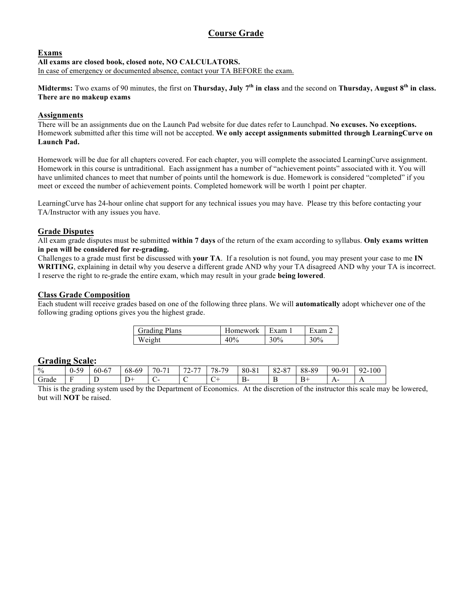# **Course Grade**

### **Exams**

# **All exams are closed book, closed note, NO CALCULATORS.**

In case of emergency or documented absence, contact your TA BEFORE the exam.

**Midterms:** Two exams of 90 minutes, the first on **Thursday, July 7th in class** and the second on **Thursday, August 8th in class. There are no makeup exams**

# **Assignments**

There will be an assignments due on the Launch Pad website for due dates refer to Launchpad. **No excuses. No exceptions.** Homework submitted after this time will not be accepted. **We only accept assignments submitted through LearningCurve on Launch Pad.**

Homework will be due for all chapters covered. For each chapter, you will complete the associated LearningCurve assignment. Homework in this course is untraditional. Each assignment has a number of "achievement points" associated with it. You will have unlimited chances to meet that number of points until the homework is due. Homework is considered "completed" if you meet or exceed the number of achievement points. Completed homework will be worth 1 point per chapter.

LearningCurve has 24-hour online chat support for any technical issues you may have. Please try this before contacting your TA/Instructor with any issues you have.

### **Grade Disputes**

All exam grade disputes must be submitted **within 7 days** of the return of the exam according to syllabus. **Only exams written in pen will be considered for re-grading.** 

Challenges to a grade must first be discussed with **your TA**. If a resolution is not found, you may present your case to me **IN WRITING**, explaining in detail why you deserve a different grade AND why your TA disagreed AND why your TA is incorrect. I reserve the right to re-grade the entire exam, which may result in your grade **being lowered**.

### **Class Grade Composition**

Each student will receive grades based on one of the following three plans. We will **automatically** adopt whichever one of the following grading options gives you the highest grade.

| <b>Grading Plans</b> | Homework | l Exam | Exam   |
|----------------------|----------|--------|--------|
| Weight               | 40%      | 30%    | $30\%$ |

### **Grading Scale:**

| ---------  | -----------          |                         |                 |                                        |                                                                                       |              |       |                                                        |       |       |                        |
|------------|----------------------|-------------------------|-----------------|----------------------------------------|---------------------------------------------------------------------------------------|--------------|-------|--------------------------------------------------------|-------|-------|------------------------|
| $\%$       | .59<br>.<br><u>.</u> | $60-6$<br>$\sim$ $\sim$ | -60<br>$68 - 6$ | $-1$<br>$\overline{\phantom{a}}$<br>U- | $\overline{\phantom{0}}$<br>$\overline{\phantom{a}}$<br>$\overline{\phantom{a}}$<br>∸ | .70<br>$78-$ | 80-81 | O <sub>7</sub><br>റ<br>$\mathsf{O} \mathsf{L}$<br>′−Ο. | 88-89 | 90-91 | 100<br>$\Omega$<br>. . |
| ⌒<br>drade |                      | -<br>-                  |                 |                                        |                                                                                       | -            | В-    | $\sim$<br>. .                                          | . .   | . .   | $\overline{1}$         |

This is the grading system used by the Department of Economics. At the discretion of the instructor this scale may be lowered, but will **NOT** be raised.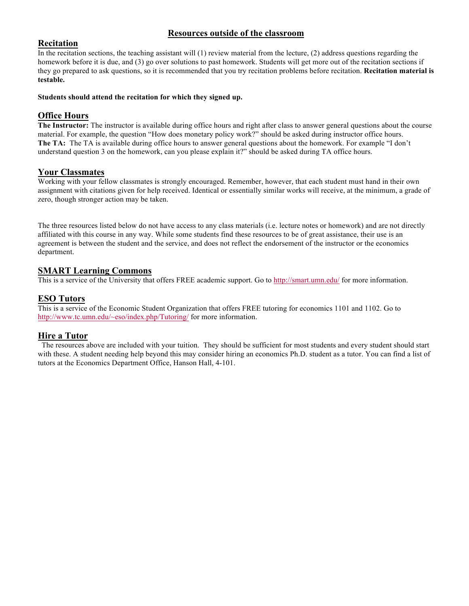# **Resources outside of the classroom**

## **Recitation**

In the recitation sections, the teaching assistant will (1) review material from the lecture, (2) address questions regarding the homework before it is due, and (3) go over solutions to past homework. Students will get more out of the recitation sections if they go prepared to ask questions, so it is recommended that you try recitation problems before recitation. **Recitation material is testable.**

### **Students should attend the recitation for which they signed up.**

## **Office Hours**

**The Instructor:** The instructor is available during office hours and right after class to answer general questions about the course material. For example, the question "How does monetary policy work?" should be asked during instructor office hours. **The TA:** The TA is available during office hours to answer general questions about the homework. For example "I don't understand question 3 on the homework, can you please explain it?" should be asked during TA office hours.

### **Your Classmates**

Working with your fellow classmates is strongly encouraged. Remember, however, that each student must hand in their own assignment with citations given for help received. Identical or essentially similar works will receive, at the minimum, a grade of zero, though stronger action may be taken.

The three resources listed below do not have access to any class materials (i.e. lecture notes or homework) and are not directly affiliated with this course in any way. While some students find these resources to be of great assistance, their use is an agreement is between the student and the service, and does not reflect the endorsement of the instructor or the economics department.

### **SMART Learning Commons**

This is a service of the University that offers FREE academic support. Go to http://smart.umn.edu/ for more information.

# **ESO Tutors**

This is a service of the Economic Student Organization that offers FREE tutoring for economics 1101 and 1102. Go to http://www.tc.umn.edu/~eso/index.php/Tutoring/ for more information.

### **Hire a Tutor**

The resources above are included with your tuition. They should be sufficient for most students and every student should start with these. A student needing help beyond this may consider hiring an economics Ph.D. student as a tutor. You can find a list of tutors at the Economics Department Office, Hanson Hall, 4-101.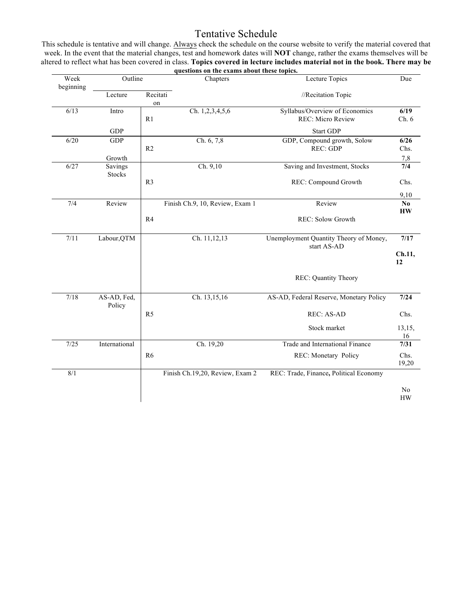# Tentative Schedule

This schedule is tentative and will change. Always check the schedule on the course website to verify the material covered that week. In the event that the material changes, test and homework dates will **NOT** change, rather the exams themselves will be altered to reflect what has been covered in class. **Topics covered in lecture includes material not in the book. There may be** 

|                   |                       |                | questions on the exams about these topics. |                                                            |                                     |
|-------------------|-----------------------|----------------|--------------------------------------------|------------------------------------------------------------|-------------------------------------|
| Week<br>beginning | Outline               |                | Chapters                                   | <b>Lecture Topics</b>                                      | Due                                 |
|                   | Lecture               | Recitati<br>on |                                            | //Recitation Topic                                         |                                     |
| 6/13              | Intro                 | R <sub>1</sub> | Ch. 1,2,3,4,5,6                            | Syllabus/Overview of Economics<br><b>REC: Micro Review</b> | 6/19<br>Ch.6                        |
|                   | <b>GDP</b>            |                |                                            | <b>Start GDP</b>                                           |                                     |
| 6/20              | GDP                   | R <sub>2</sub> | Ch. 6, 7,8                                 | GDP, Compound growth, Solow<br>REC: GDP                    | 6/26<br>Chs.                        |
|                   | Growth                |                |                                            |                                                            | 7,8                                 |
| 6/27              | Savings<br>Stocks     |                | Ch. 9,10                                   | Saving and Investment, Stocks                              | 7/4                                 |
|                   |                       | R <sub>3</sub> |                                            | REC: Compound Growth                                       | Chs.                                |
|                   |                       |                |                                            |                                                            | 9,10                                |
| 7/4               | Review                |                | Finish Ch.9, 10, Review, Exam 1            | Review                                                     | $\mathbf{N}\mathbf{0}$<br><b>HW</b> |
|                   |                       | R4             |                                            | REC: Solow Growth                                          |                                     |
| 7/11              | Labour, QTM           |                | Ch. 11,12,13                               | Unemployment Quantity Theory of Money,<br>start AS-AD      | 7/17                                |
|                   |                       |                |                                            |                                                            | Ch.11,<br>12                        |
|                   |                       |                |                                            | REC: Quantity Theory                                       |                                     |
| 7/18              | AS-AD, Fed,<br>Policy |                | Ch. 13,15,16                               | AS-AD, Federal Reserve, Monetary Policy                    | 7/24                                |
|                   |                       | R <sub>5</sub> |                                            | <b>REC: AS-AD</b>                                          | Chs.                                |
|                   |                       |                |                                            | Stock market                                               | 13,15,<br>16                        |
| 7/25              | International         |                | Ch. 19,20                                  | Trade and International Finance                            | 7/31                                |
|                   |                       | R <sub>6</sub> |                                            | REC: Monetary Policy                                       | Chs.<br>19,20                       |
| 8/1               |                       |                | Finish Ch.19,20, Review, Exam 2            | REC: Trade, Finance, Political Economy                     |                                     |
|                   |                       |                |                                            |                                                            | No<br><b>HW</b>                     |